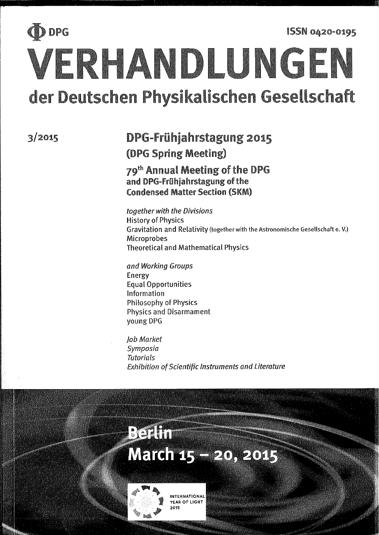# D DPG **ISSN 0420-0195** VERHANDLUNGEN der Deutschen Physikalischen Gesellschaft

 $3/2015$ 

# DPG-Frühjahrstagung 2015 (DPG Spring Meeting)

# 79th Annual Meeting of the DPG and DPG-Frühjahrstagung of the **Condensed Matter Section (SKM)**

together with the Divisions **History of Physics** Gravitation and Relativity (together with the Astronomische Gesellschaft e. V.) **Microprobes Theoretical and Mathematical Physics** 

and Working Groups Energy **Equal Opportunities** Information **Philosophy of Physics Physics and Disarmament** young DPG

Job Market Symposia **Tutorials Exhibition of Scientific Instruments and Literature** 

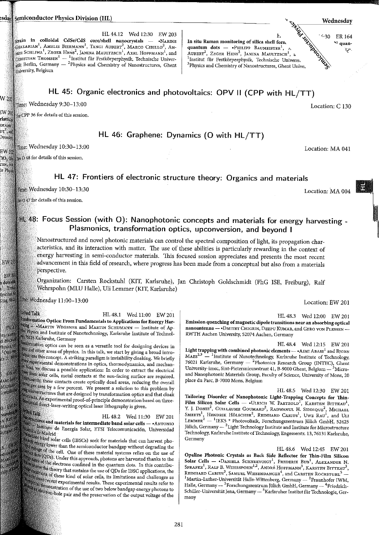#### esday Semiconductor Physics Division (HL)

HL 44.12 Wed 12:30 EW 203 strain in colloidal CdSe/CdS core/shell nanocrystals - . NARINE <sub>GHAZARIAN</sub>!, Amelie Biermann<sup>1</sup>, Tangi Aubert<sup>2</sup>, Marco Cirillo<sup>2</sup>, An-<br><sub>1881</sub> Schliwa<sup>1</sup>, Zeger Hens<sup>2</sup>, Janina Maultzsch<sup>1</sup>, Axel Hoffmann<sup>1</sup>, and CHRISTIAN THOMSEN<sup>1</sup> — <sup>1</sup>Institut für Festkörperphysik, Technische Universität Berlin, Germany — <sup>2</sup>Physics and Chemistry of Nanostructures, Ghent <sub>Uni</sub>versity, Belgium

Sunday Marian In situ Raman monitoring of silica shell forn. quantum dots - PHILIPP BAUMEISTER<sup>1</sup>, AUBERT<sup>2</sup>, ZEGER HENS<sup>2</sup>, JANINA MAULTZSCH<sup>1</sup>, a <sup>1</sup>Institut für Festkörperphysik, Technische Universi. <sup>2</sup>Physics and Chemistry of Nanostructures, Ghent Unive.

### HL 45: Organic electronics and photovoltaics: OPV II (CPP with HL/TT)

#### Time: Wednesday 9:30-13:00

 $W_20\eta$ 

: W 20)

rlattice MANN  $\mathop{\rm DT}\nolimits^2, \mathop{\rm and}\nolimits$ 

**Dresden** 

EW 202

ren, Ar ir Physl

**EW 20** 

FWW

dotswil

 $1$ , Tone Institut **is** Cing Alule

BW A

**ELLMAN** 

d Michael

hysics, <sup>See</sup><br><sup>2</sup>Otto-108

1tz 2, 3910

**FW** 

LARC SASS

MICHAEL Frenzfland

 $0 - \widehat{D}$ 

Wavelent

N KLIP ik und fr

tuttgark.

 $5 - 10$ 

**D**<br>ots out<br>A hadden<br>rely diverse

see CPP 36 for details of this session.

HL 46: Graphene: Dynamics (O with HL/TT)

#### Ime: Wednesday 10:30-13:00

 $\left[10,0\right]$   $\left[0,0.048\right]$  for details of this session.

# HL 47: Frontiers of electronic structure theory: Organics and materials

Time: Wednesday 10:30-13:30

te 047 for details of this session.

## HL 48: Focus Session (with O): Nanophotonic concepts and materials for energy harvesting -Plasmonics, transformation optics, upconversion, and beyond I

Nanostructured and novel photonic materials can control the spectral composition of light, its propagation characteristics, and its interaction with matter. The use of these abilities is particularly rewarding in the context of energy harvesting in semi-conductor materials. This focused session appreciates and presents the most recent advancement in this field of research, where progress has been made from a conceptual but also from a materials perspective.

Organization: Carsten Rockstuhl (KIT, Karlsruhe), Jan Christoph Goldschmidt (FhG ISE, Freiburg), Ralf Wehrspohn (MLU Halle), Uli Lemmer (KIT, Karlsruhe)

Time: Wednesday 11:00-13:00

#### **Indeed Talk**

HL 48.1 Wed 11:00 EW 201 lessformation Optics: From Fundamentals to Applications for Energy Harkilne MARTIN WEGENER and MARTIN SCHUMANN - Institute of Apdel Physics and Institute of Nanotechnology, Karlsruhe Institute of Technol-**18.76128 Karlsruhe, Germany** 

lastomation optics can be seen as a versatile tool for designing devices in the and other areas of physics. In this talk, we start by giving a broad introalon into this concept. A striking paradigm is invisibility cloaking. We briefly the experimental demonstrations in optics, thermodynamics, and mechan-Mexi, we discuss a possible application: In order to extract the electrical The from solar cells, metal contacts at the sun-facing surface are required. determined tests, include contacts at the own allows a comparison overall the per area by a few percent. We present a solution to this problem by standard that cloak that are designed by transformation optics and that cloak somacts. An experimental proof-of-principle demonstration based on three-

#### *<u>Died</u> Talk*

HL 48.2 Wed 11:30 EW 201

the fuctures and materials for intermediate band solar cells — • ANTONIO m a compositor de la composición de la composición de la composición de la composición de la composición de la<br>Composición de la composición de la composición de la composición de la composición de la composición de la co <sup>fuica</sup> de Madrid

dedicate band.<br>We have band solar cells (IBSCs) seek for materials that can harvest phothe energy lower than the semiconductor bandgap without degrading the between than the semiconductor barrager with the use of the dots of the cell. One of these material opposition comes thanks to the<br>three dots (QDs). Under this approach, photons are harvested thanks to the of the states of the electrons confined in the quantum dots. In this contribuof the electrons confined in the quantum web. The contractions, the settlem the theory that sustains the use of QDs for IBSC applications, the a constrains of theory that sustains the use of you have  $\frac{1}{2}$  and challenges as when walls of these kind of solar cells, its immuturity may see the fight proof recent experimental results refer to of the streegal experimental results. Incse experiments are applied to the set of two below bandgap energy photons to the set of the use of two below bandgap energy photons to are an electron-hole pair and the preservation of the output voltage of the HL 48.3 Wed 12:00 EW 201

Emission quenching of magnetic dipole transitions near an absorbing optical nanoantenna - + DMITRY CHIGRIN, DEEPU KUMAR, and GERO VON PLESSEN -RWTH Aachen University, 52074 Aachen, Germany

HL 48.4 Wed 12:15 EW 201

Light trapping with combined photonic elements - +AIMI ABASS<sup>1</sup> and BJORN  $MARS^{2,3}$  - <sup>1</sup>Institute of Nanotechnology, Karlsruhe Institute of Technology, 76021 Karlsruhe, Germany - <sup>2</sup>Photonics Research Group (INTEC), Ghent University-imec, Sint-Pietersnieuwstraat 41, B-9000 Ghent, Belgium  $^3$ Microand Nanophotonic Materials Group, Faculty of Science, University of Mons. 20 place du Parc, B-7000 Mons, Belgium

HL 48.5 Wed 12:30 EW 201 Tailoring Disorder of Nanophotonic Light-Trapping Concepts for Thin-Film Silicon Solar Cells - «ULRICH W. PAETZOLD<sup>1</sup>, KARSTEN BITTKAU<sup>1</sup>, Y. J. DONIE<sup>2</sup>, GUILLAUME GOUMARD<sup>2</sup>, RADWANUL H. SIDDIQUE<sup>2</sup>, MICHAEL SMEETS<sup>1</sup>, HENDRIK HÖLSCHER<sup>2</sup>, REINHARD CARIUS<sup>1</sup>, UWE RAU<sup>1</sup>, and ULI<br>LEMMER<sup>2</sup> — <sup>1</sup>LEK5 \* Photovoltaik, Forschungszentrum Jülich GmbH, 52425<br>Jülich, Germany — <sup>2</sup>Light Technology Institute and Institute for Microstruc Technology, Karlsruhe Institute of Technology, Engesserstr. 13, 76131 Karlsruhe, Germany

HL 48.6 Wed 12:45 EW 201 Opaline Photonic Crystals as Back Side Reflector for Thin-Film Silicon Solar Cells — • DANIELA SCHNEEVOIGT<sup>1</sup>, FREDERIK BUB<sup>1</sup>, ALEXANDER N. SPRAFKE<sup>1</sup>, RALF B. WEHRSPOHN<sup>1,2</sup>, ANDRÉ HOFFMANN<sup>3</sup>, KARSTEN BITTKAU<sup>3</sup>, REINHARD CARIUS<sup>3</sup>, SAMUEL WIESENDANGER<sup>4</sup>, and CARSTEN ROCKSTUHL  $^{\rm l}$ Martin-Luther-Universität Halle-Wittenberg, Germany —  $^{\rm 2}$ Fraunhofer IWM, Halle, Germany — <sup>3</sup>Forschungszentrum Jülich GmbH, Germany — <sup>4</sup>Friedrich-Schiller-Universität Jena, Germany — <sup>5</sup>Karlsruher Institut für Technologie, Germany

Location: C 130

Wednesdav

 $~4$ 30 ER 164

N quan-

夕.

Location: MA 041

Location: MA 004

Location: EW 201